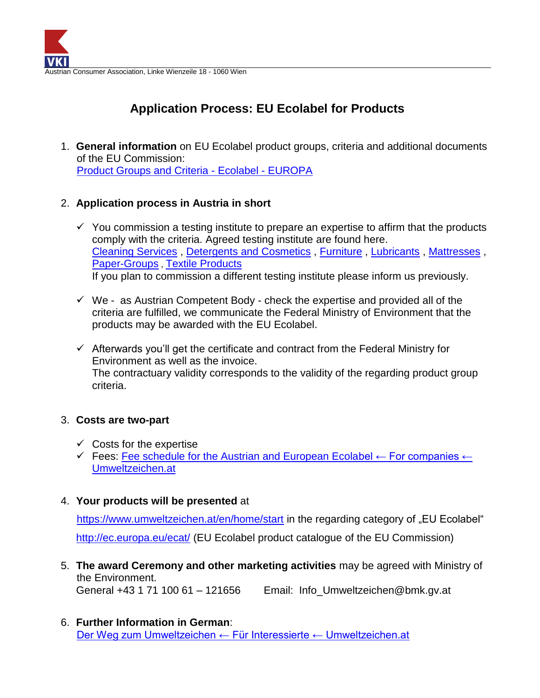

## **Application Process: EU Ecolabel for Products**

1. **General information** on EU Ecolabel product groups, criteria and additional documents of the EU Commission: Product [Groups and Criteria -](https://ec.europa.eu/environment/ecolabel/products-groups-and-criteria.html) Ecolabel - EUROPA

## 2. **Application process in Austria in short**

- $\checkmark$  You commission a testing institute to prepare an expertise to affirm that the products comply with the criteria. Agreed testing institute are found here. [Cleaning Services](https://produkte.umweltzeichen.at/index.php?b_rl_327=1&berater=1) , [Detergents and Cosmetics](https://produkte.umweltzeichen.at/index.php?berater=1&b_rl_294=1) , [Furniture](https://produkte.umweltzeichen.at/index.php?berater=1&b_rl_334=1) , [Lubricants](https://produkte.umweltzeichen.at/index.php?berater=1&b_rl_282=1) , [Mattresses](https://produkte.umweltzeichen.at/index.php?berater=1&b_rl_283=1) , [Paper-Groups](https://produkte.umweltzeichen.at/index.php?berater=1&b_rl_302=1) , [Textile Products](https://produkte.umweltzeichen.at/index.php?berater=1&b_rl_236=1) If you plan to commission a different testing institute please inform us previously.
- $\checkmark$  We as Austrian Competent Body check the expertise and provided all of the criteria are fulfilled, we communicate the Federal Ministry of Environment that the products may be awarded with the EU Ecolabel.
- $\checkmark$  Afterwards you'll get the certificate and contract from the Federal Ministry for Environment as well as the invoice. The contractuary validity corresponds to the validity of the regarding product group criteria.

## 3. **Costs are two-part**

- $\checkmark$  Costs for the expertise
- Fees: Fee schedule for the Austrian and European Ecolabel  $\leftarrow$  For companies  $\leftarrow$ [Umweltzeichen.at](https://www.umweltzeichen.at/en/for-companies/fees)
- 4. **Your products will be presented** at

<https://www.umweltzeichen.at/en/home/start> in the regarding category of "EU Ecolabel" <http://ec.europa.eu/ecat/> (EU Ecolabel product catalogue of the EU Commission)

- 5. **The award Ceremony and other marketing activities** may be agreed with Ministry of the Environment. General +43 1 71 100 61 – 121656 Email: [Info\\_Umweltzeichen@bmk.gv.at](mailto:Info_Umweltzeichen@bmk.gv.at)
- 6. **Further Information in German**: [Der Weg zum Umweltzeichen ← Für Interessierte ← Umweltzeichen.at](https://www.umweltzeichen.at/de/f%C3%BCr-interessierte/der-weg-zum-umweltzeichen)